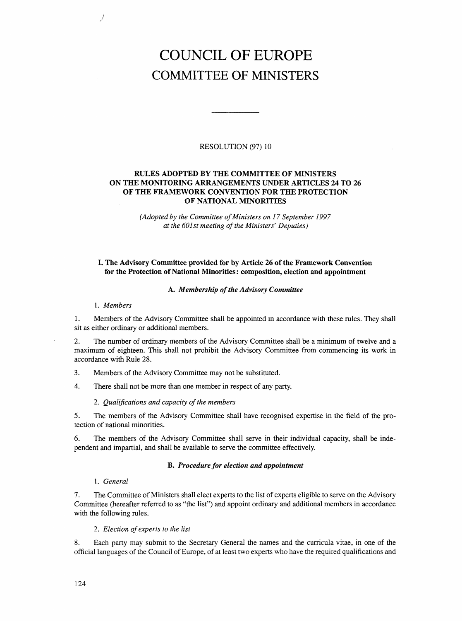# COUNCIL OF EUROPE COMMITTEE OF MINISTERS

# RESOLUTION (97) 10

# RULES ADOPTED BY THE COMMITTEE OF MINISTERS ON THE MONITORING ARRANGEMENTS UNDER ARTICLES 24 TO 26 OF THE FRAMEWORK CONVENTION FOR THE PROTECTION OF NATIONAL MINORITIES

(Adopted by the Committee of Ministers on 17 September 1997 at the 601st meeting of the Ministers' Deputies)

# I. The Advisory Committee provided for by Article 26 of the Framework Convention for the Protection of National Minorities: composition, election and appointment

# A. Membership of the Advisory Committee

#### 1. Members

)

1. Members of the Advisory Committee shall be appointed in accordance with these rules. They shall sit as either ordinary or additional members.

2. The number of ordinary members of the Advisory Committee shall be a minimum of twelve and a maximum of eighteen. This shall not prohibit the Advisory Committee from commencing its work in accordance with Rule 28.

3. Members of the Advisory Committee may not be substituted.

4. There shall not be more than one member in respect of any party.

2. Qualifications and capacity of the members

5. The members of the Advisory Committee shall have recognised expertise in the field of the protection of national minorities.

6. The members of the Advisory Committee shall serve in their individual capacity, shall be independent and impartial, and shall be available to serve the committee effectively.

# B. Procedure for election and appointment

#### 1. General

7. The Committee of Ministers shall elect experts to the list of experts eligible to serve on the Advisory Committee (hereafter referred to as "the list") and appoint ordinary and additional members in accordance with the following rules.

2. Election of experts to the list

8. Each party may submit to the Secretary General the names and the curricula vitae, in one of the official languages of the Council of Europe, of at least two experts who have the required qualifications and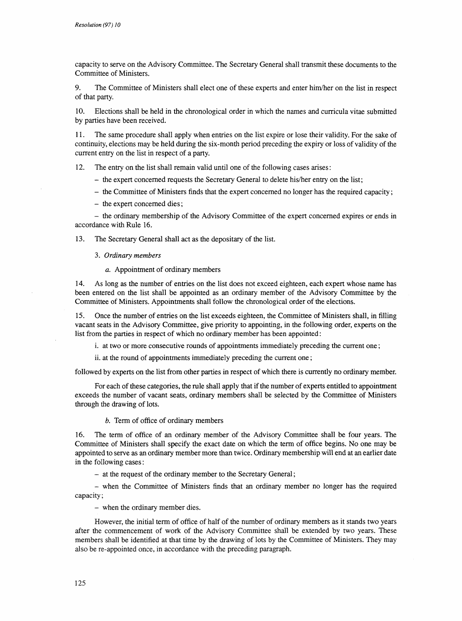capacity to serve on the Advisory Committee. The Secretary General shall transmit these documents to the Committee of Ministers.

9. The Committee of Ministers shall elect one of these experts and enter him/her on the list in respect of that party.

10. Elections shall be held in the chronological order in which the names and curricula vitae submitted by parties have been received.

11. The same procedure shall apply when entries on the list expire or lose their validity. For the sake of continuity, elections may be held during the six-month period preceding the expiry or loss of validity of the current entry on the list in respect of a party.

12. The entry on the list shall remain valid until one of the following cases arises:

- the expert concerned requests the Secretary General to delete his/her entry on the list;
- the Committee of Ministers finds that the expert concerned no longer has the required capacity;
- the expert concerned dies;

- the ordinary membership of the Advisory Committee of the expert concerned expires or ends in accordance with Rule 16.

13. The Secretary General shall act as the depositary of the list.

3. Ordinary members

#### a. Appointment of ordinary members

14. As long as the number of entries on the list does not exceed eighteen, each expert whose name has been entered on the list shall be appointed as an ordinary member of the Advisory Committee by the Committee of Ministers. Appointments shall follow the chronological order of the elections.

15. Once the number of entries on the list exceeds eighteen, the Committee of Ministers shall, in filling vacant seats in the Advisory Committee, give priority to appointing, in the following order, experts on the list from the parties in respect of which no ordinary member has been appointed:

i. at two or more consecutive rounds of appointments immediately preceding the current one;

ii. at the round of appointments immediately preceding the current one;

followed by experts on the list from other parties in respect of which there is currently no ordinary member.

For each of these categories, the rule shall apply that if the number of experts entitled to appointment exceeds the number of vacant seats, ordinary members shall be selected by the Committee of Ministers through the drawing of lots.

b. Term of office of ordinary members

16. The term of office of an ordinary member of the Advisory Committee shall be four years. The Committee of Ministers shall specify the exact date on which the term of office begins. No one may be appointed to serve as an ordinary member more than twice. Ordinary membership will end at an earlier date in the following cases:

- at the request of the ordinary member to the Secretary General;

- when the Committee of Ministers finds that an ordinary member no longer has the required capacity;

- when the ordinary member dies.

However, the initial term of office of half of the number of ordinary members as it stands two years after the commencement of work of the Advisory Committee shall be extended by two years. These members shall be identified at that time by the drawing of lots by the Committee of Ministers. They may also be re-appointed once, in accordance with the preceding paragraph.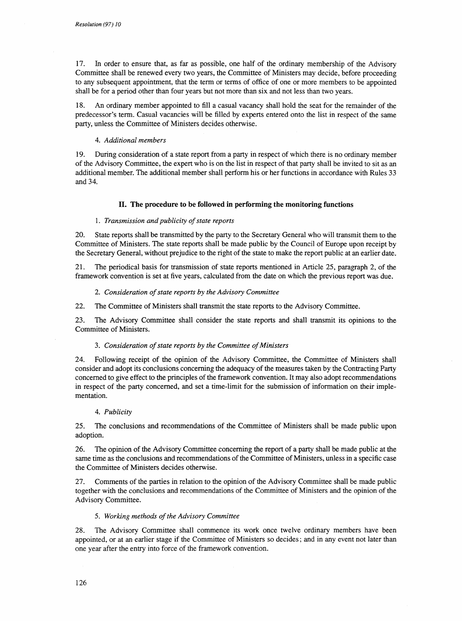17. In order to ensure that, as far as possible, one half of the ordinary membership of the Advisory Committee shall be renewed every two years, the Committee of Ministers may decide, before proceeding to any subsequent appointment, that the term or terms of office of one or more members to be appointed shall be for a period other than four years but not more than six and not less than two years.

18. An ordinary member appointed to fill a casual vacancy shall hold the seat for the remainder of the predecessor's term. Casual vacancies will be filled by experts entered onto the list in respect of the same party, unless the Committee of Ministers decides otherwise.

## 4. Additional members

19. During consideration of a state report from a party in respect of which there is no ordinary member of the Advisory Committee, the expert who is on the list in respect of that party shall be invited to sit as an additional member. The additional member shall perform his or her functions in accordance with Rules 33 and 34.

## II. The procedure to be followed in performing the monitoring functions

## 1. Transmission and publicity of state reports

20. State reports shall be transmitted by the party to the Secretary General who will transmit them to the Committee of Ministers. The state reports shall be made public by the Council of Europe upon receipt by the Secretary General, without prejudice to the right of the state to make the report public at an earlier date.

21. The periodical basis for transmission of state reports mentioned in Article 25, paragraph 2, of the framework convention is set at five years, calculated from the date on which the previous report was due.

#### 2. Consideration of state reports by the Advisory Committee

22. The Committee of Ministers shall transmit the state reports to the Advisory Committee.

23. The Advisory Committee shall consider the state reports and shall transmit its opinions to the Committee of Ministers.

#### 3. Consideration of state reports by the Committee of Ministers

24. Following receipt of the opinion of the Advisory Committee, the Committee of Ministers shall consider and adopt its conclusions concerning the adequacy of the measures taken by the Contracting Party concerned to give effect to the principles of the framework convention. It may also adopt recommendations in respect of the party concerned, and set a time-limit for the submission of information on their implementation.

#### 4. Publicity

25. The conclusions and recommendations of the Committee of Ministers shall be made public upon adoption.

26. The opinion of the Advisory Committee concerning the report of a party shall be made public at the same time as the conclusions and recommendations of the Committee of Ministers, unless in a specific case the Committee of Ministers decides otherwise.

27. Comments of the parties in relation to the opinion of the Advisory Committee shall be made public together with the conclusions and recommendations of the Committee of Ministers and the opinion of the Advisory Committee.

#### 5. Working methods of the Advisory Committee

28. The Advisory Committee shall commence its work once twelve ordinary members have been appointed, or at an earlier stage if the Committee of Ministers so decides; and in any event not later than one year after the entry into force of the framework convention.